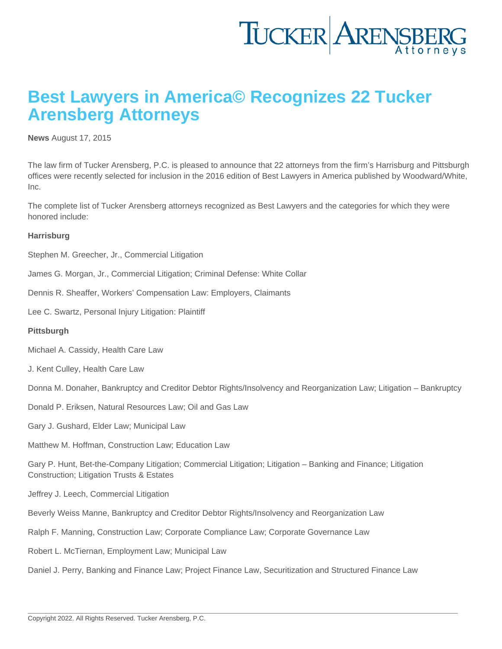## Best Lawyers in America© Recognizes 22 Tucker Arensberg Attorneys

[News](https://www.tuckerlaw.com/category/news/) August 17, 2015

The law firm of Tucker Arensberg, P.C. is pleased to announce that 22 attorneys from the firm's Harrisburg and Pittsburgh offices were recently selected for inclusion in the 2016 edition of Best Lawyers in America published by Woodward/White, Inc.

The complete list of Tucker Arensberg attorneys recognized as Best Lawyers and the categories for which they were honored include:

**Harrisburg** 

Stephen M. Greecher, Jr., Commercial Litigation

James G. Morgan, Jr., Commercial Litigation; Criminal Defense: White Collar

Dennis R. Sheaffer, Workers' Compensation Law: Employers, Claimants

Lee C. Swartz, Personal Injury Litigation: Plaintiff

**Pittsburgh** 

Michael A. Cassidy, Health Care Law

J. Kent Culley, Health Care Law

Donna M. Donaher, Bankruptcy and Creditor Debtor Rights/Insolvency and Reorganization Law; Litigation – Bankruptcy

Donald P. Eriksen, Natural Resources Law; Oil and Gas Law

Gary J. Gushard, Elder Law; Municipal Law

Matthew M. Hoffman, Construction Law; Education Law

Gary P. Hunt, Bet-the-Company Litigation; Commercial Litigation; Litigation – Banking and Finance; Litigation Construction; Litigation Trusts & Estates

Jeffrey J. Leech, Commercial Litigation

Beverly Weiss Manne, Bankruptcy and Creditor Debtor Rights/Insolvency and Reorganization Law

Ralph F. Manning, Construction Law; Corporate Compliance Law; Corporate Governance Law

Robert L. McTiernan, Employment Law; Municipal Law

Daniel J. Perry, Banking and Finance Law; Project Finance Law, Securitization and Structured Finance Law